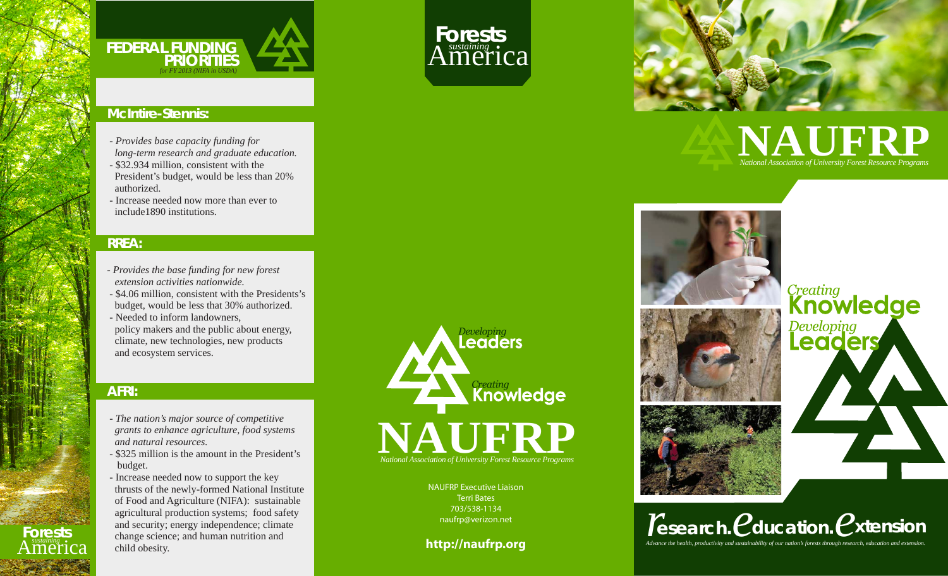

### **McIntire-Stennis:**

- *Provides base capacity funding for*
- *long-term research and graduate education.*
- \$32.934 million, consistent with the President's budget, would be less than 20% authorized.
- Increase needed now more than ever to include1890 institutions.

#### **RREA:**

- *Provides the base funding for new forest extension activities nationwide.*
- \$4.06 million, consistent with the Presidents's budget, would be less that 30% authorized.
- Needed to inform landowners,
- policy makers and the public about energy, climate, new technologies, new products and ecosystem services.

### **AFRI:**

**Forests** *sustaining* America

- *The nation's major source of competitive grants to enhance agriculture, food systems and natural resources.*
- \$325 million is the amount in the President's budget.
- Increase needed now to support the key thrusts of the newly-formed National Institute of Food and Agriculture (NIFA): sustainable agricultural production systems; food safety and security; energy independence; climate change science; and human nutrition and child obesity.



**Forests**<br>America

NAUFRP Executive Liaison Terri Bates 703/538-1134 naufrp@verizon.net

**http://naufrp.org**



# **NAUFRP** *National Association of University Forest Resource Programs*







# Creating **Knowledge** Developing<br>**Leaders**

*Advance the health, productivity and sustainability of our nation's forests through research, education and extension. esearch.*  $*P*$  *ducation.*  $*P*$  xtension